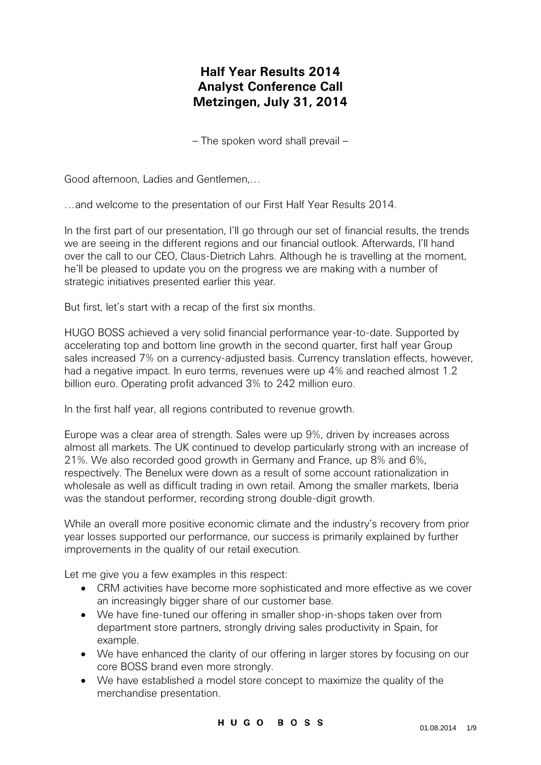## **Half Year Results 2014 Analyst Conference Call Metzingen, July 31, 2014**

– The spoken word shall prevail –

Good afternoon, Ladies and Gentlemen,…

…and welcome to the presentation of our First Half Year Results 2014.

In the first part of our presentation, I'll go through our set of financial results, the trends we are seeing in the different regions and our financial outlook. Afterwards, I'll hand over the call to our CEO, Claus-Dietrich Lahrs. Although he is travelling at the moment, he'll be pleased to update you on the progress we are making with a number of strategic initiatives presented earlier this year.

But first, let's start with a recap of the first six months.

HUGO BOSS achieved a very solid financial performance year-to-date. Supported by accelerating top and bottom line growth in the second quarter, first half year Group sales increased 7% on a currency-adjusted basis. Currency translation effects, however, had a negative impact. In euro terms, revenues were up 4% and reached almost 1.2 billion euro. Operating profit advanced 3% to 242 million euro.

In the first half year, all regions contributed to revenue growth.

Europe was a clear area of strength. Sales were up 9%, driven by increases across almost all markets. The UK continued to develop particularly strong with an increase of 21%. We also recorded good growth in Germany and France, up 8% and 6%, respectively. The Benelux were down as a result of some account rationalization in wholesale as well as difficult trading in own retail. Among the smaller markets, Iberia was the standout performer, recording strong double-digit growth.

While an overall more positive economic climate and the industry's recovery from prior year losses supported our performance, our success is primarily explained by further improvements in the quality of our retail execution.

Let me give you a few examples in this respect:

- CRM activities have become more sophisticated and more effective as we cover an increasingly bigger share of our customer base.
- We have fine-tuned our offering in smaller shop-in-shops taken over from department store partners, strongly driving sales productivity in Spain, for example.
- We have enhanced the clarity of our offering in larger stores by focusing on our core BOSS brand even more strongly.
- We have established a model store concept to maximize the quality of the merchandise presentation.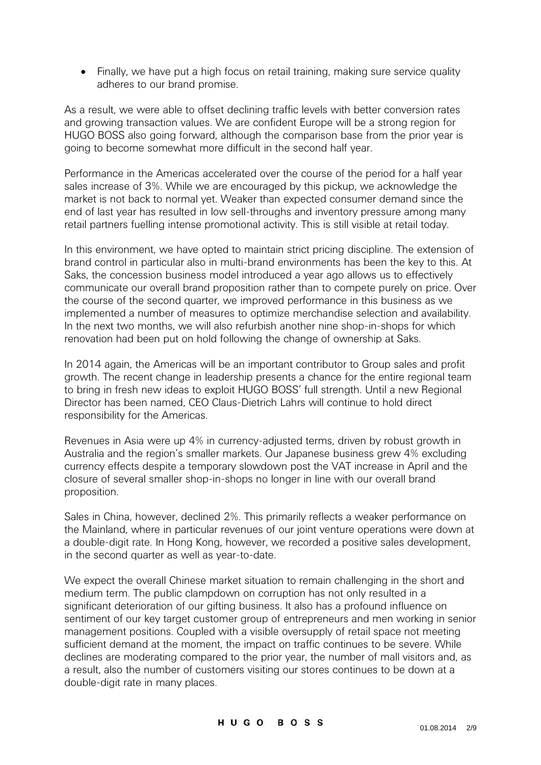• Finally, we have put a high focus on retail training, making sure service quality adheres to our brand promise.

As a result, we were able to offset declining traffic levels with better conversion rates and growing transaction values. We are confident Europe will be a strong region for HUGO BOSS also going forward, although the comparison base from the prior year is going to become somewhat more difficult in the second half year.

Performance in the Americas accelerated over the course of the period for a half year sales increase of 3%. While we are encouraged by this pickup, we acknowledge the market is not back to normal yet. Weaker than expected consumer demand since the end of last year has resulted in low sell-throughs and inventory pressure among many retail partners fuelling intense promotional activity. This is still visible at retail today.

In this environment, we have opted to maintain strict pricing discipline. The extension of brand control in particular also in multi-brand environments has been the key to this. At Saks, the concession business model introduced a year ago allows us to effectively communicate our overall brand proposition rather than to compete purely on price. Over the course of the second quarter, we improved performance in this business as we implemented a number of measures to optimize merchandise selection and availability. In the next two months, we will also refurbish another nine shop-in-shops for which renovation had been put on hold following the change of ownership at Saks.

In 2014 again, the Americas will be an important contributor to Group sales and profit growth. The recent change in leadership presents a chance for the entire regional team to bring in fresh new ideas to exploit HUGO BOSS' full strength. Until a new Regional Director has been named, CEO Claus-Dietrich Lahrs will continue to hold direct responsibility for the Americas.

Revenues in Asia were up 4% in currency-adjusted terms, driven by robust growth in Australia and the region's smaller markets. Our Japanese business grew 4% excluding currency effects despite a temporary slowdown post the VAT increase in April and the closure of several smaller shop-in-shops no longer in line with our overall brand proposition.

Sales in China, however, declined 2%. This primarily reflects a weaker performance on the Mainland, where in particular revenues of our joint venture operations were down at a double-digit rate. In Hong Kong, however, we recorded a positive sales development, in the second quarter as well as year-to-date.

We expect the overall Chinese market situation to remain challenging in the short and medium term. The public clampdown on corruption has not only resulted in a significant deterioration of our gifting business. It also has a profound influence on sentiment of our key target customer group of entrepreneurs and men working in senior management positions. Coupled with a visible oversupply of retail space not meeting sufficient demand at the moment, the impact on traffic continues to be severe. While declines are moderating compared to the prior year, the number of mall visitors and, as a result, also the number of customers visiting our stores continues to be down at a double-digit rate in many places.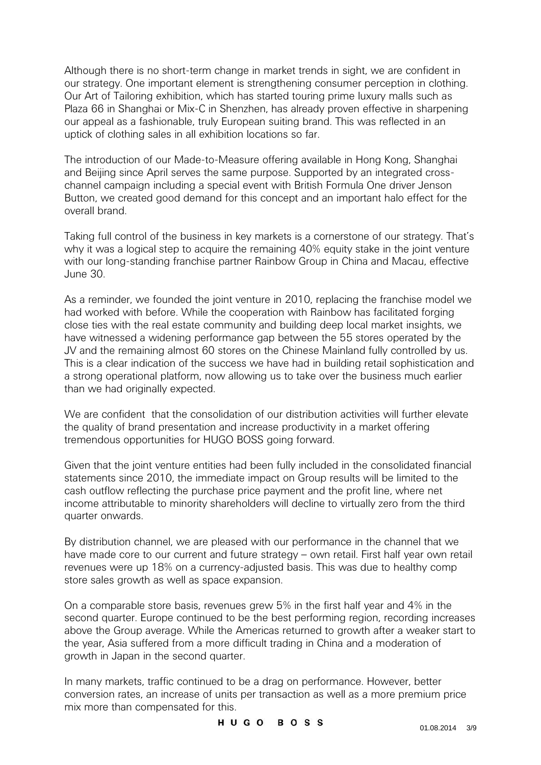Although there is no short-term change in market trends in sight, we are confident in our strategy. One important element is strengthening consumer perception in clothing. Our Art of Tailoring exhibition, which has started touring prime luxury malls such as Plaza 66 in Shanghai or Mix-C in Shenzhen, has already proven effective in sharpening our appeal as a fashionable, truly European suiting brand. This was reflected in an uptick of clothing sales in all exhibition locations so far.

The introduction of our Made-to-Measure offering available in Hong Kong, Shanghai and Beijing since April serves the same purpose. Supported by an integrated crosschannel campaign including a special event with British Formula One driver Jenson Button, we created good demand for this concept and an important halo effect for the overall brand.

Taking full control of the business in key markets is a cornerstone of our strategy. That's why it was a logical step to acquire the remaining 40% equity stake in the joint venture with our long-standing franchise partner Rainbow Group in China and Macau, effective June 30.

As a reminder, we founded the joint venture in 2010, replacing the franchise model we had worked with before. While the cooperation with Rainbow has facilitated forging close ties with the real estate community and building deep local market insights, we have witnessed a widening performance gap between the 55 stores operated by the JV and the remaining almost 60 stores on the Chinese Mainland fully controlled by us. This is a clear indication of the success we have had in building retail sophistication and a strong operational platform, now allowing us to take over the business much earlier than we had originally expected.

We are confident that the consolidation of our distribution activities will further elevate the quality of brand presentation and increase productivity in a market offering tremendous opportunities for HUGO BOSS going forward.

Given that the joint venture entities had been fully included in the consolidated financial statements since 2010, the immediate impact on Group results will be limited to the cash outflow reflecting the purchase price payment and the profit line, where net income attributable to minority shareholders will decline to virtually zero from the third quarter onwards.

By distribution channel, we are pleased with our performance in the channel that we have made core to our current and future strategy – own retail. First half year own retail revenues were up 18% on a currency-adjusted basis. This was due to healthy comp store sales growth as well as space expansion.

On a comparable store basis, revenues grew 5% in the first half year and 4% in the second quarter. Europe continued to be the best performing region, recording increases above the Group average. While the Americas returned to growth after a weaker start to the year, Asia suffered from a more difficult trading in China and a moderation of growth in Japan in the second quarter.

In many markets, traffic continued to be a drag on performance. However, better conversion rates, an increase of units per transaction as well as a more premium price mix more than compensated for this.

## HUGO BOSS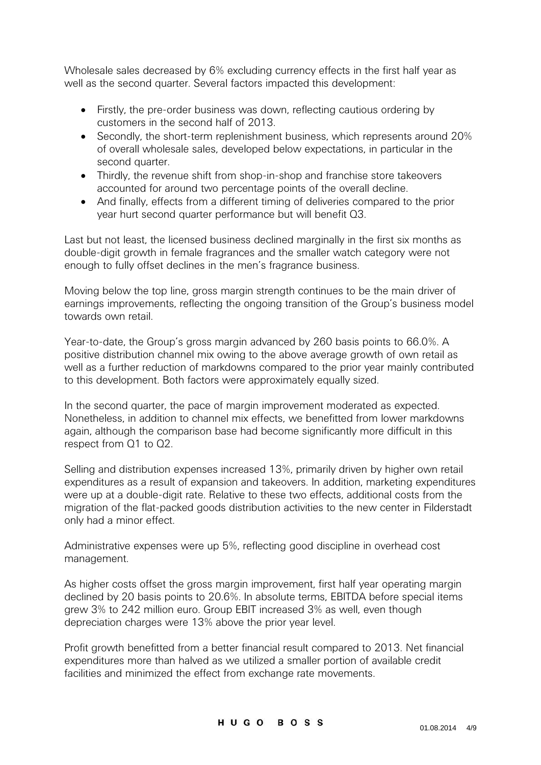Wholesale sales decreased by 6% excluding currency effects in the first half year as well as the second quarter. Several factors impacted this development:

- Firstly, the pre-order business was down, reflecting cautious ordering by customers in the second half of 2013.
- Secondly, the short-term replenishment business, which represents around 20% of overall wholesale sales, developed below expectations, in particular in the second quarter.
- Thirdly, the revenue shift from shop-in-shop and franchise store takeovers accounted for around two percentage points of the overall decline.
- And finally, effects from a different timing of deliveries compared to the prior year hurt second quarter performance but will benefit Q3.

Last but not least, the licensed business declined marginally in the first six months as double-digit growth in female fragrances and the smaller watch category were not enough to fully offset declines in the men's fragrance business.

Moving below the top line, gross margin strength continues to be the main driver of earnings improvements, reflecting the ongoing transition of the Group's business model towards own retail.

Year-to-date, the Group's gross margin advanced by 260 basis points to 66.0%. A positive distribution channel mix owing to the above average growth of own retail as well as a further reduction of markdowns compared to the prior year mainly contributed to this development. Both factors were approximately equally sized.

In the second quarter, the pace of margin improvement moderated as expected. Nonetheless, in addition to channel mix effects, we benefitted from lower markdowns again, although the comparison base had become significantly more difficult in this respect from Q1 to Q2.

Selling and distribution expenses increased 13%, primarily driven by higher own retail expenditures as a result of expansion and takeovers. In addition, marketing expenditures were up at a double-digit rate. Relative to these two effects, additional costs from the migration of the flat-packed goods distribution activities to the new center in Filderstadt only had a minor effect.

Administrative expenses were up 5%, reflecting good discipline in overhead cost management.

As higher costs offset the gross margin improvement, first half year operating margin declined by 20 basis points to 20.6%. In absolute terms, EBITDA before special items grew 3% to 242 million euro. Group EBIT increased 3% as well, even though depreciation charges were 13% above the prior year level.

Profit growth benefitted from a better financial result compared to 2013. Net financial expenditures more than halved as we utilized a smaller portion of available credit facilities and minimized the effect from exchange rate movements.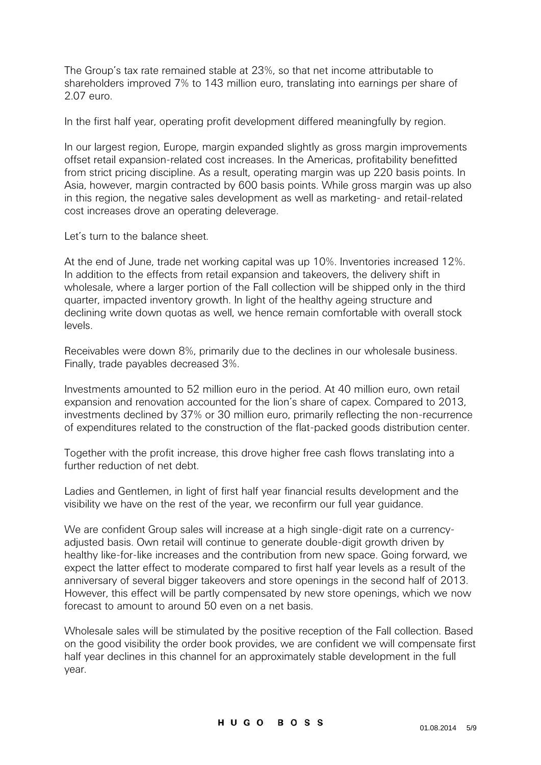The Group's tax rate remained stable at 23%, so that net income attributable to shareholders improved 7% to 143 million euro, translating into earnings per share of 2.07 euro.

In the first half year, operating profit development differed meaningfully by region.

In our largest region, Europe, margin expanded slightly as gross margin improvements offset retail expansion-related cost increases. In the Americas, profitability benefitted from strict pricing discipline. As a result, operating margin was up 220 basis points. In Asia, however, margin contracted by 600 basis points. While gross margin was up also in this region, the negative sales development as well as marketing- and retail-related cost increases drove an operating deleverage.

Let's turn to the balance sheet.

At the end of June, trade net working capital was up 10%. Inventories increased 12%. In addition to the effects from retail expansion and takeovers, the delivery shift in wholesale, where a larger portion of the Fall collection will be shipped only in the third quarter, impacted inventory growth. In light of the healthy ageing structure and declining write down quotas as well, we hence remain comfortable with overall stock levels.

Receivables were down 8%, primarily due to the declines in our wholesale business. Finally, trade payables decreased 3%.

Investments amounted to 52 million euro in the period. At 40 million euro, own retail expansion and renovation accounted for the lion's share of capex. Compared to 2013, investments declined by 37% or 30 million euro, primarily reflecting the non-recurrence of expenditures related to the construction of the flat-packed goods distribution center.

Together with the profit increase, this drove higher free cash flows translating into a further reduction of net debt.

Ladies and Gentlemen, in light of first half year financial results development and the visibility we have on the rest of the year, we reconfirm our full year guidance.

We are confident Group sales will increase at a high single-digit rate on a currencyadjusted basis. Own retail will continue to generate double-digit growth driven by healthy like-for-like increases and the contribution from new space. Going forward, we expect the latter effect to moderate compared to first half year levels as a result of the anniversary of several bigger takeovers and store openings in the second half of 2013. However, this effect will be partly compensated by new store openings, which we now forecast to amount to around 50 even on a net basis.

Wholesale sales will be stimulated by the positive reception of the Fall collection. Based on the good visibility the order book provides, we are confident we will compensate first half year declines in this channel for an approximately stable development in the full year.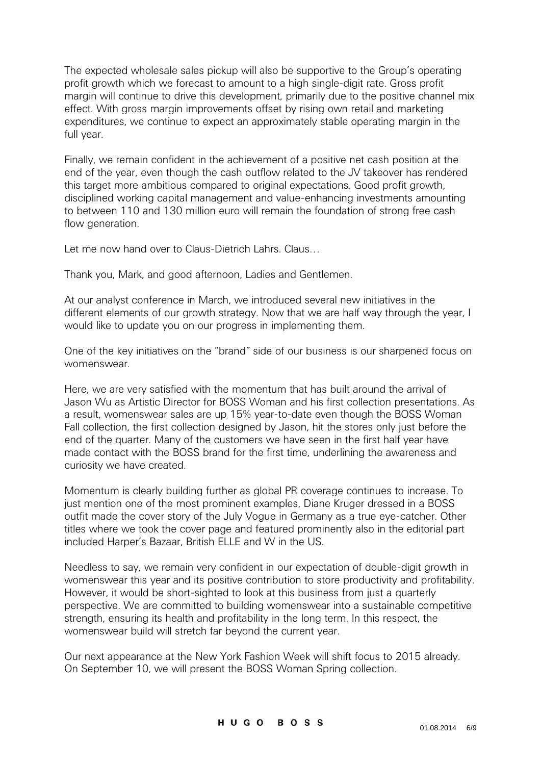The expected wholesale sales pickup will also be supportive to the Group's operating profit growth which we forecast to amount to a high single-digit rate. Gross profit margin will continue to drive this development, primarily due to the positive channel mix effect. With gross margin improvements offset by rising own retail and marketing expenditures, we continue to expect an approximately stable operating margin in the full year.

Finally, we remain confident in the achievement of a positive net cash position at the end of the year, even though the cash outflow related to the JV takeover has rendered this target more ambitious compared to original expectations. Good profit growth, disciplined working capital management and value-enhancing investments amounting to between 110 and 130 million euro will remain the foundation of strong free cash flow generation.

Let me now hand over to Claus-Dietrich Lahrs. Claus…

Thank you, Mark, and good afternoon, Ladies and Gentlemen.

At our analyst conference in March, we introduced several new initiatives in the different elements of our growth strategy. Now that we are half way through the year, I would like to update you on our progress in implementing them.

One of the key initiatives on the "brand" side of our business is our sharpened focus on womenswear.

Here, we are very satisfied with the momentum that has built around the arrival of Jason Wu as Artistic Director for BOSS Woman and his first collection presentations. As a result, womenswear sales are up 15% year-to-date even though the BOSS Woman Fall collection, the first collection designed by Jason, hit the stores only just before the end of the quarter. Many of the customers we have seen in the first half year have made contact with the BOSS brand for the first time, underlining the awareness and curiosity we have created.

Momentum is clearly building further as global PR coverage continues to increase. To just mention one of the most prominent examples, Diane Kruger dressed in a BOSS outfit made the cover story of the July Vogue in Germany as a true eye-catcher. Other titles where we took the cover page and featured prominently also in the editorial part included Harper's Bazaar, British ELLE and W in the US.

Needless to say, we remain very confident in our expectation of double-digit growth in womenswear this year and its positive contribution to store productivity and profitability. However, it would be short-sighted to look at this business from just a quarterly perspective. We are committed to building womenswear into a sustainable competitive strength, ensuring its health and profitability in the long term. In this respect, the womenswear build will stretch far beyond the current year.

Our next appearance at the New York Fashion Week will shift focus to 2015 already. On September 10, we will present the BOSS Woman Spring collection.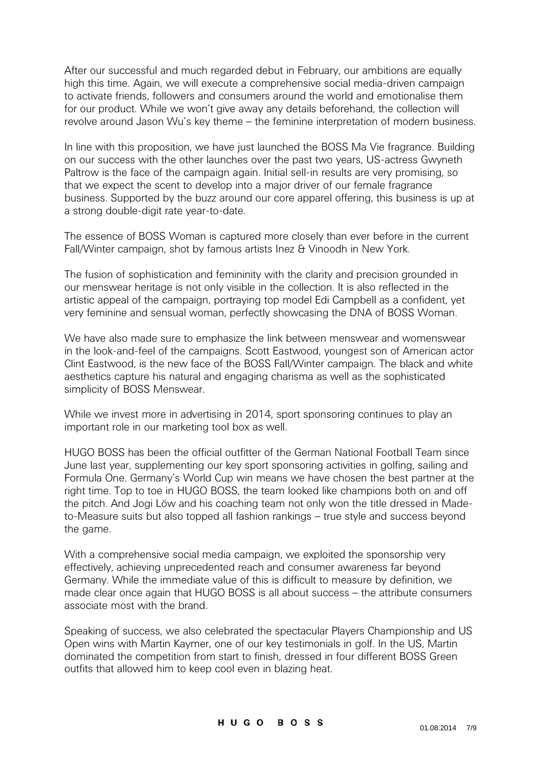After our successful and much regarded debut in February, our ambitions are equally high this time. Again, we will execute a comprehensive social media-driven campaign to activate friends, followers and consumers around the world and emotionalise them for our product. While we won't give away any details beforehand, the collection will revolve around Jason Wu's key theme – the feminine interpretation of modern business.

In line with this proposition, we have just launched the BOSS Ma Vie fragrance. Building on our success with the other launches over the past two years, US-actress Gwyneth Paltrow is the face of the campaign again. Initial sell-in results are very promising, so that we expect the scent to develop into a major driver of our female fragrance business. Supported by the buzz around our core apparel offering, this business is up at a strong double-digit rate year-to-date.

The essence of BOSS Woman is captured more closely than ever before in the current Fall/Winter campaign, shot by famous artists Inez & Vinoodh in New York.

The fusion of sophistication and femininity with the clarity and precision grounded in our menswear heritage is not only visible in the collection. It is also reflected in the artistic appeal of the campaign, portraying top model Edi Campbell as a confident, yet very feminine and sensual woman, perfectly showcasing the DNA of BOSS Woman.

We have also made sure to emphasize the link between menswear and womenswear in the look-and-feel of the campaigns. Scott Eastwood, youngest son of American actor Clint Eastwood, is the new face of the BOSS Fall/Winter campaign. The black and white aesthetics capture his natural and engaging charisma as well as the sophisticated simplicity of BOSS Menswear.

While we invest more in advertising in 2014, sport sponsoring continues to play an important role in our marketing tool box as well.

HUGO BOSS has been the official outfitter of the German National Football Team since June last year, supplementing our key sport sponsoring activities in golfing, sailing and Formula One. Germany's World Cup win means we have chosen the best partner at the right time. Top to toe in HUGO BOSS, the team looked like champions both on and off the pitch. And Jogi Löw and his coaching team not only won the title dressed in Madeto-Measure suits but also topped all fashion rankings – true style and success beyond the game.

With a comprehensive social media campaign, we exploited the sponsorship very effectively, achieving unprecedented reach and consumer awareness far beyond Germany. While the immediate value of this is difficult to measure by definition, we made clear once again that HUGO BOSS is all about success – the attribute consumers associate most with the brand.

Speaking of success, we also celebrated the spectacular Players Championship and US Open wins with Martin Kaymer, one of our key testimonials in golf. In the US, Martin dominated the competition from start to finish, dressed in four different BOSS Green outfits that allowed him to keep cool even in blazing heat.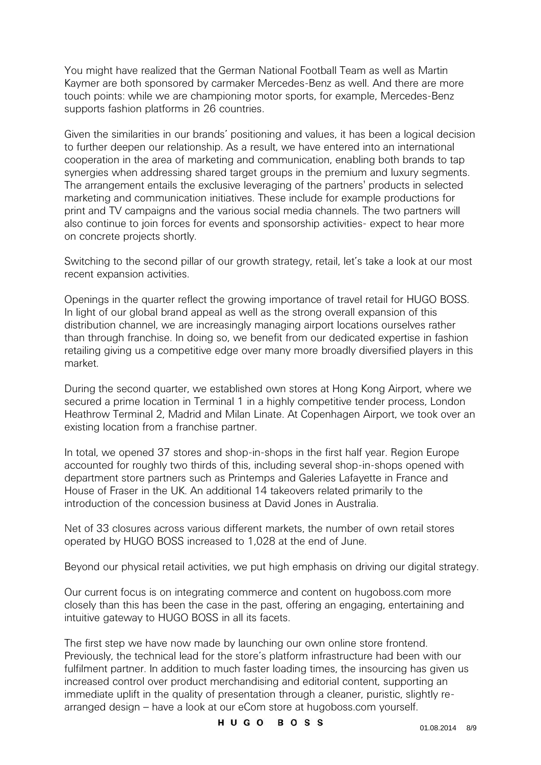You might have realized that the German National Football Team as well as Martin Kaymer are both sponsored by carmaker Mercedes-Benz as well. And there are more touch points: while we are championing motor sports, for example, Mercedes-Benz supports fashion platforms in 26 countries.

Given the similarities in our brands' positioning and values, it has been a logical decision to further deepen our relationship. As a result, we have entered into an international cooperation in the area of marketing and communication, enabling both brands to tap synergies when addressing shared target groups in the premium and luxury segments. The arrangement entails the exclusive leveraging of the partners' products in selected marketing and communication initiatives. These include for example productions for print and TV campaigns and the various social media channels. The two partners will also continue to join forces for events and sponsorship activities- expect to hear more on concrete projects shortly.

Switching to the second pillar of our growth strategy, retail, let's take a look at our most recent expansion activities.

Openings in the quarter reflect the growing importance of travel retail for HUGO BOSS. In light of our global brand appeal as well as the strong overall expansion of this distribution channel, we are increasingly managing airport locations ourselves rather than through franchise. In doing so, we benefit from our dedicated expertise in fashion retailing giving us a competitive edge over many more broadly diversified players in this market.

During the second quarter, we established own stores at Hong Kong Airport, where we secured a prime location in Terminal 1 in a highly competitive tender process, London Heathrow Terminal 2, Madrid and Milan Linate. At Copenhagen Airport, we took over an existing location from a franchise partner.

In total, we opened 37 stores and shop-in-shops in the first half year. Region Europe accounted for roughly two thirds of this, including several shop-in-shops opened with department store partners such as Printemps and Galeries Lafayette in France and House of Fraser in the UK. An additional 14 takeovers related primarily to the introduction of the concession business at David Jones in Australia.

Net of 33 closures across various different markets, the number of own retail stores operated by HUGO BOSS increased to 1,028 at the end of June.

Beyond our physical retail activities, we put high emphasis on driving our digital strategy.

Our current focus is on integrating commerce and content on hugoboss.com more closely than this has been the case in the past, offering an engaging, entertaining and intuitive gateway to HUGO BOSS in all its facets.

The first step we have now made by launching our own online store frontend. Previously, the technical lead for the store's platform infrastructure had been with our fulfilment partner. In addition to much faster loading times, the insourcing has given us increased control over product merchandising and editorial content, supporting an immediate uplift in the quality of presentation through a cleaner, puristic, slightly rearranged design – have a look at our eCom store at hugoboss.com yourself.